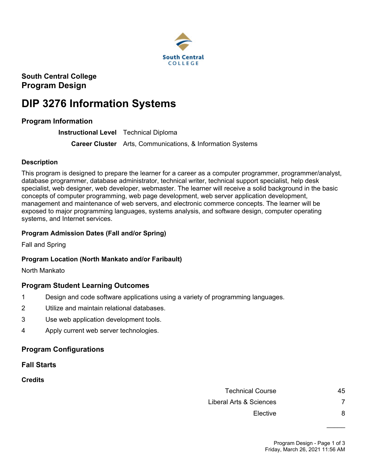

**South Central College Program Design**

# **DIP 3276 Information Systems**

## **Program Information**

**Instructional Level** Technical Diploma

**Career Cluster** Arts, Communications, & Information Systems

#### **Description**

This program is designed to prepare the learner for a career as a computer programmer, programmer/analyst, database programmer, database administrator, technical writer, technical support specialist, help desk specialist, web designer, web developer, webmaster. The learner will receive a solid background in the basic concepts of computer programming, web page development, web server application development, management and maintenance of web servers, and electronic commerce concepts. The learner will be exposed to major programming languages, systems analysis, and software design, computer operating systems, and Internet services.

#### **Program Admission Dates (Fall and/or Spring)**

Fall and Spring

#### **Program Location (North Mankato and/or Faribault)**

North Mankato

#### **Program Student Learning Outcomes**

- 1 Design and code software applications using a variety of programming languages.
- 2 Utilize and maintain relational databases.
- 3 Use web application development tools.
- 4 Apply current web server technologies.

#### **Program Configurations**

**Fall Starts**

**Credits**

Technical Course **45** Liberal Arts & Sciences 7 Elective 8

 $\frac{1}{2}$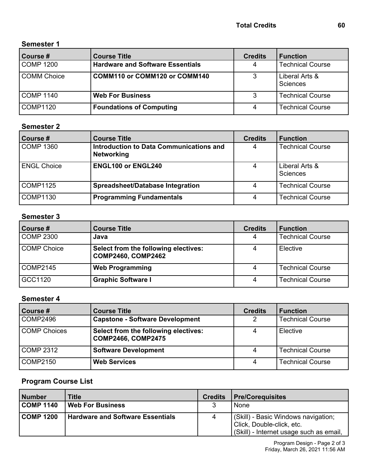# **Semester 1**

| Course #      | <b>Course Title</b>                     | <b>Credits</b> | <b>Function</b>            |
|---------------|-----------------------------------------|----------------|----------------------------|
| COMP 1200     | <b>Hardware and Software Essentials</b> | 4              | <b>Technical Course</b>    |
| l COMM Choice | COMM110 or COMM120 or COMM140           | 3              | Liberal Arts &<br>Sciences |
| l COMP 1140   | <b>Web For Business</b>                 | 3              | <b>Technical Course</b>    |
| COMP1120      | <b>Foundations of Computing</b>         | 4              | <b>Technical Course</b>    |

# **Semester 2**

| Course #           | <b>Course Title</b>                                          | <b>Credits</b> | <b>Function</b>            |
|--------------------|--------------------------------------------------------------|----------------|----------------------------|
| COMP 1360          | Introduction to Data Communications and<br><b>Networking</b> | 4              | <b>Technical Course</b>    |
| <b>ENGL Choice</b> | <b>ENGL100 or ENGL240</b>                                    | 4              | Liberal Arts &<br>Sciences |
| COMP1125           | <b>Spreadsheet/Database Integration</b>                      |                | <b>Technical Course</b>    |
| COMP1130           | <b>Programming Fundamentals</b>                              | 4              | <b>Technical Course</b>    |

#### **Semester 3**

| Course #    | <b>Course Title</b>                                               | <b>Credits</b> | <b>Function</b>         |
|-------------|-------------------------------------------------------------------|----------------|-------------------------|
| COMP 2300   | Java                                                              | 4              | <b>Technical Course</b> |
| COMP Choice | Select from the following electives:<br><b>COMP2460, COMP2462</b> |                | Elective                |
| COMP2145    | <b>Web Programming</b>                                            |                | <b>Technical Course</b> |
| GCC1120     | <b>Graphic Software I</b>                                         | 4              | <b>Technical Course</b> |

# **Semester 4**

| Course #     | <b>Course Title</b>                                               | <b>Credits</b> | <b>Function</b>         |
|--------------|-------------------------------------------------------------------|----------------|-------------------------|
| COMP2496     | <b>Capstone - Software Development</b>                            | 2              | <b>Technical Course</b> |
| COMP Choices | Select from the following electives:<br><b>COMP2466, COMP2475</b> | 4              | Elective                |
| COMP 2312    | <b>Software Development</b>                                       | 4              | <b>Technical Course</b> |
| COMP2150     | <b>Web Services</b>                                               | 4              | <b>Technical Course</b> |

### **Program Course List**

| Number           | Title                                   | <b>Credits</b> | <b>Pre/Corequisites</b>                                                                                       |
|------------------|-----------------------------------------|----------------|---------------------------------------------------------------------------------------------------------------|
| <b>COMP 1140</b> | <b>Web For Business</b>                 | 3              | None                                                                                                          |
| <b>COMP 1200</b> | <b>Hardware and Software Essentials</b> | 4              | (Skill) - Basic Windows navigation;<br>  Click, Double-click, etc.<br>(Skill) - Internet usage such as email, |